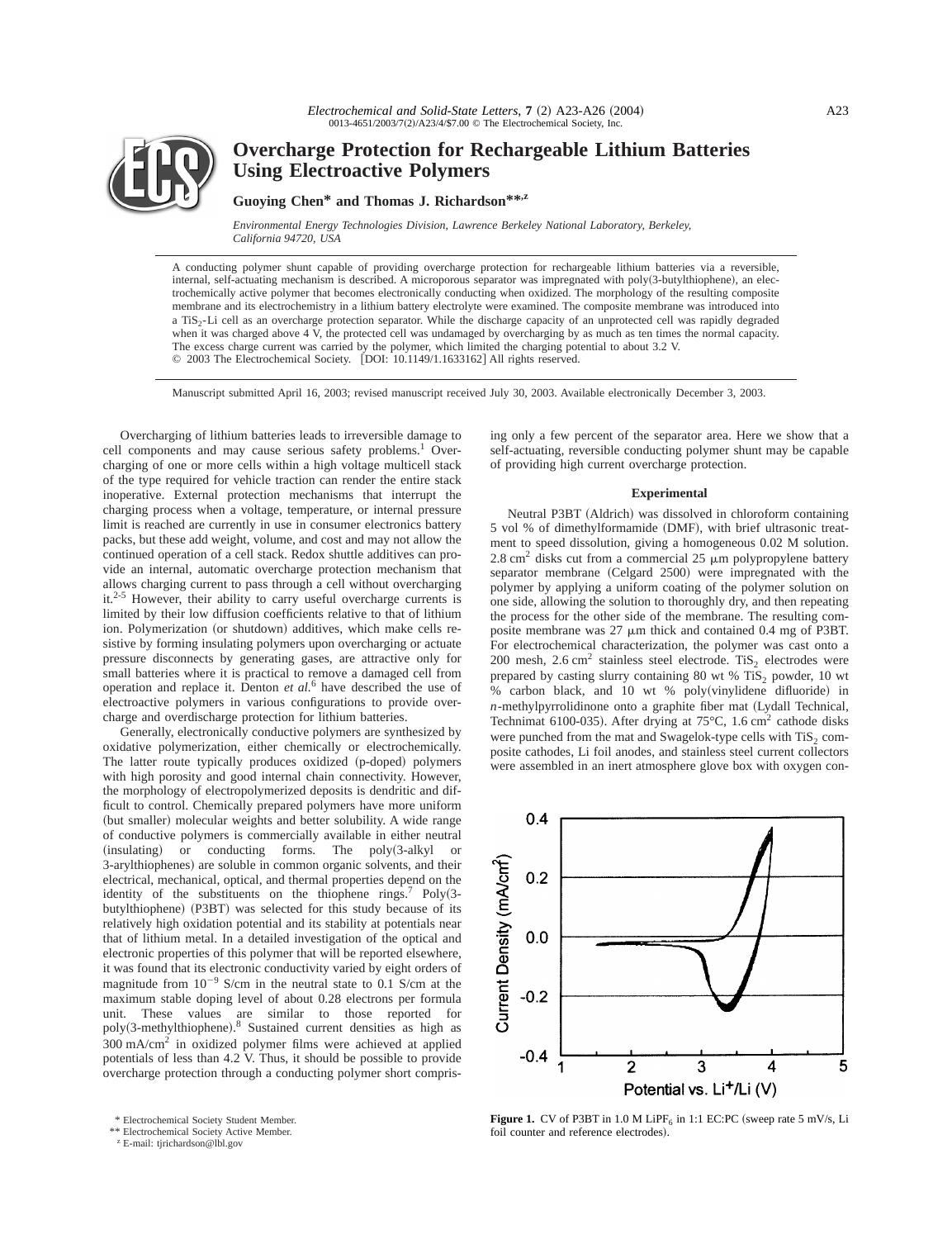

# **Overcharge Protection for Rechargeable Lithium Batteries Using Electroactive Polymers**

## **Guoying Chen\* and Thomas J. Richardson\*\*,z**

*Environmental Energy Technologies Division, Lawrence Berkeley National Laboratory, Berkeley, California 94720, USA*

A conducting polymer shunt capable of providing overcharge protection for rechargeable lithium batteries via a reversible, internal, self-actuating mechanism is described. A microporous separator was impregnated with poly(3-butylthiophene), an electrochemically active polymer that becomes electronically conducting when oxidized. The morphology of the resulting composite membrane and its electrochemistry in a lithium battery electrolyte were examined. The composite membrane was introduced into a TiS2-Li cell as an overcharge protection separator. While the discharge capacity of an unprotected cell was rapidly degraded when it was charged above 4 V, the protected cell was undamaged by overcharging by as much as ten times the normal capacity. The excess charge current was carried by the polymer, which limited the charging potential to about 3.2 V. © 2003 The Electrochemical Society. [DOI: 10.1149/1.1633162] All rights reserved.

Manuscript submitted April 16, 2003; revised manuscript received July 30, 2003. Available electronically December 3, 2003.

Overcharging of lithium batteries leads to irreversible damage to cell components and may cause serious safety problems.<sup>1</sup> Overcharging of one or more cells within a high voltage multicell stack of the type required for vehicle traction can render the entire stack inoperative. External protection mechanisms that interrupt the charging process when a voltage, temperature, or internal pressure limit is reached are currently in use in consumer electronics battery packs, but these add weight, volume, and cost and may not allow the continued operation of a cell stack. Redox shuttle additives can provide an internal, automatic overcharge protection mechanism that allows charging current to pass through a cell without overcharging it.<sup>2-5</sup> However, their ability to carry useful overcharge currents is limited by their low diffusion coefficients relative to that of lithium ion. Polymerization (or shutdown) additives, which make cells resistive by forming insulating polymers upon overcharging or actuate pressure disconnects by generating gases, are attractive only for small batteries where it is practical to remove a damaged cell from operation and replace it. Denton *et al.*<sup>6</sup> have described the use of electroactive polymers in various configurations to provide overcharge and overdischarge protection for lithium batteries.

Generally, electronically conductive polymers are synthesized by oxidative polymerization, either chemically or electrochemically. The latter route typically produces oxidized (p-doped) polymers with high porosity and good internal chain connectivity. However, the morphology of electropolymerized deposits is dendritic and difficult to control. Chemically prepared polymers have more uniform (but smaller) molecular weights and better solubility. A wide range of conductive polymers is commercially available in either neutral (insulating) or conducting forms. The poly(3-alkyl or 3-arylthiophenes) are soluble in common organic solvents, and their electrical, mechanical, optical, and thermal properties depend on the identity of the substituents on the thiophene rings.<sup>7</sup> Poly(3butylthiophene) (P3BT) was selected for this study because of its relatively high oxidation potential and its stability at potentials near that of lithium metal. In a detailed investigation of the optical and electronic properties of this polymer that will be reported elsewhere, it was found that its electronic conductivity varied by eight orders of magnitude from  $10^{-9}$  S/cm in the neutral state to 0.1 S/cm at the maximum stable doping level of about 0.28 electrons per formula unit. These values are similar to those reported for poly(3-methylthiophene).<sup>8</sup> Sustained current densities as high as 300 mA/cm2 in oxidized polymer films were achieved at applied potentials of less than 4.2 V. Thus, it should be possible to provide overcharge protection through a conducting polymer short compris-

\*\* Electrochemical Society Active Member.

<sup>z</sup> E-mail: tjrichardson@lbl.gov

ing only a few percent of the separator area. Here we show that a self-actuating, reversible conducting polymer shunt may be capable of providing high current overcharge protection.

#### **Experimental**

Neutral P3BT (Aldrich) was dissolved in chloroform containing 5 vol % of dimethylformamide (DMF), with brief ultrasonic treatment to speed dissolution, giving a homogeneous 0.02 M solution. 2.8 cm<sup>2</sup> disks cut from a commercial 25  $\mu$ m polypropylene battery separator membrane (Celgard 2500) were impregnated with the polymer by applying a uniform coating of the polymer solution on one side, allowing the solution to thoroughly dry, and then repeating the process for the other side of the membrane. The resulting composite membrane was 27  $\mu$ m thick and contained 0.4 mg of P3BT. For electrochemical characterization, the polymer was cast onto a 200 mesh,  $2.6 \text{ cm}^2$  stainless steel electrode. TiS<sub>2</sub> electrodes were prepared by casting slurry containing 80 wt %  $TiS_2$  powder, 10 wt  $%$  carbon black, and 10 wt % poly(vinylidene difluoride) in  $n$ -methylpyrrolidinone onto a graphite fiber mat  $(Lydall$  Technical, Technimat 6100-035). After drying at 75°C, 1.6 cm<sup>2</sup> cathode disks were punched from the mat and Swagelok-type cells with  $TiS<sub>2</sub>$  composite cathodes, Li foil anodes, and stainless steel current collectors were assembled in an inert atmosphere glove box with oxygen con-



**Figure 1.** CV of P3BT in  $1.0 M$  LiPF<sub>6</sub> in  $1:1$  EC:PC (sweep rate 5 mV/s, Li foil counter and reference electrodes).

<sup>\*</sup> Electrochemical Society Student Member.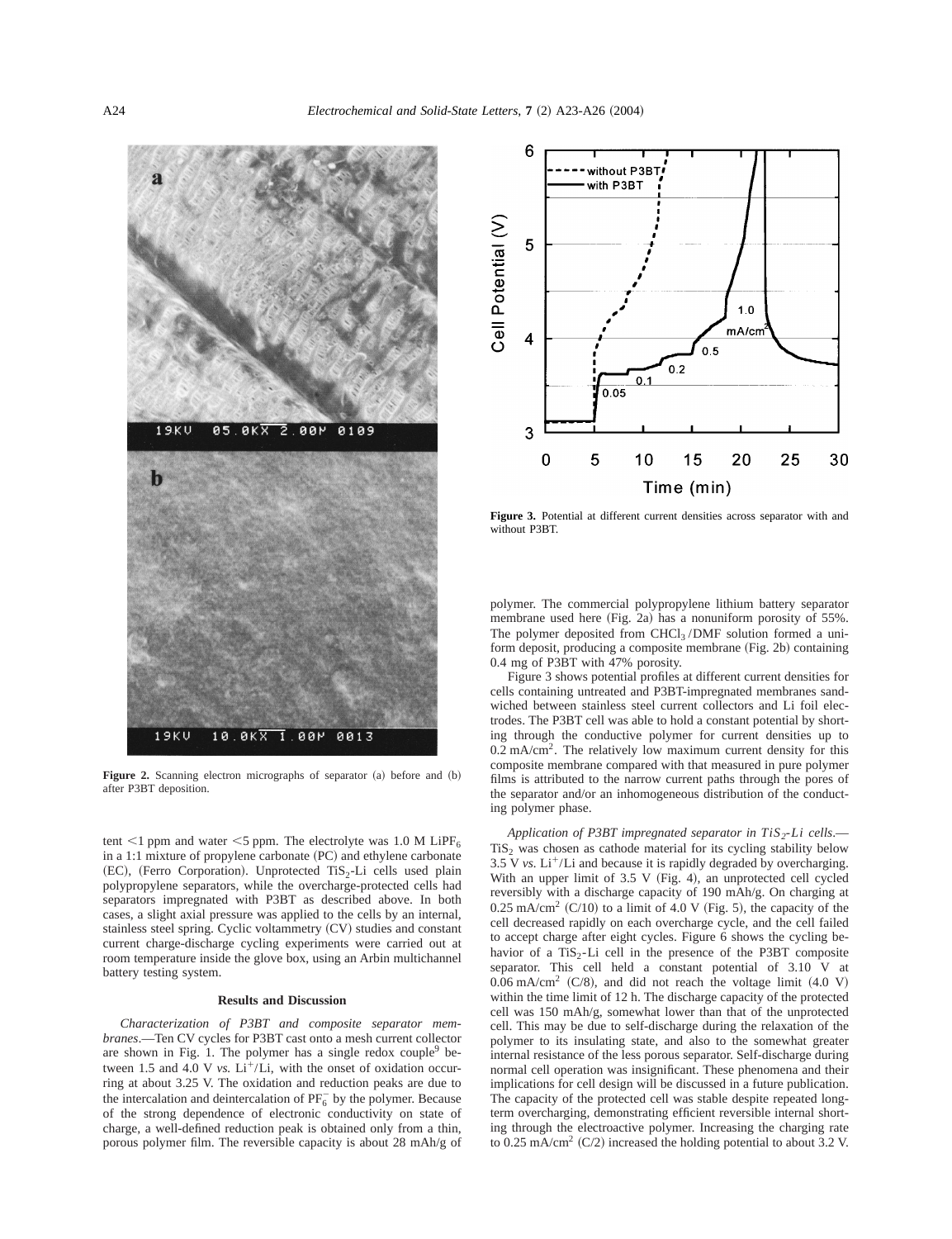

Figure 2. Scanning electron micrographs of separator (a) before and (b) after P3BT deposition.

tent <1 ppm and water <5 ppm. The electrolyte was 1.0 M LiPF<sub>6</sub> in a 1:1 mixture of propylene carbonate  $(PC)$  and ethylene carbonate (EC), (Ferro Corporation). Unprotected TiS<sub>2</sub>-Li cells used plain polypropylene separators, while the overcharge-protected cells had separators impregnated with P3BT as described above. In both cases, a slight axial pressure was applied to the cells by an internal, stainless steel spring. Cyclic voltammetry  $(CV)$  studies and constant current charge-discharge cycling experiments were carried out at room temperature inside the glove box, using an Arbin multichannel battery testing system.

## **Results and Discussion**

*Characterization of P3BT and composite separator membranes*.—Ten CV cycles for P3BT cast onto a mesh current collector are shown in Fig. 1. The polymer has a single redox couple $9$  between 1.5 and 4.0 V  $vs.$  Li<sup>+</sup>/Li, with the onset of oxidation occurring at about 3.25 V. The oxidation and reduction peaks are due to the intercalation and deintercalation of  $PF_6^-$  by the polymer. Because of the strong dependence of electronic conductivity on state of charge, a well-defined reduction peak is obtained only from a thin, porous polymer film. The reversible capacity is about 28 mAh/g of



**Figure 3.** Potential at different current densities across separator with and without P3BT.

polymer. The commercial polypropylene lithium battery separator membrane used here (Fig. 2a) has a nonuniform porosity of 55%. The polymer deposited from CHCl3 /DMF solution formed a uniform deposit, producing a composite membrane  $(Fig. 2b)$  containing 0.4 mg of P3BT with 47% porosity.

Figure 3 shows potential profiles at different current densities for cells containing untreated and P3BT-impregnated membranes sandwiched between stainless steel current collectors and Li foil electrodes. The P3BT cell was able to hold a constant potential by shorting through the conductive polymer for current densities up to  $0.2 \text{ mA/cm}^2$ . The relatively low maximum current density for this composite membrane compared with that measured in pure polymer films is attributed to the narrow current paths through the pores of the separator and/or an inhomogeneous distribution of the conducting polymer phase.

*Application of P3BT impregnated separator in TiS<sub>2</sub>-Li cells.*—  $TiS<sub>2</sub>$  was chosen as cathode material for its cycling stability below 3.5 V  $vs.$  Li<sup>+</sup>/Li and because it is rapidly degraded by overcharging. With an upper limit of  $3.5 V$  (Fig. 4), an unprotected cell cycled reversibly with a discharge capacity of 190 mAh/g. On charging at  $0.25$  mA/cm<sup>2</sup> (C/10) to a limit of 4.0 V (Fig. 5), the capacity of the cell decreased rapidly on each overcharge cycle, and the cell failed to accept charge after eight cycles. Figure 6 shows the cycling behavior of a  $TiS_2$ -Li cell in the presence of the P3BT composite separator. This cell held a constant potential of 3.10 V at  $0.06$  mA/cm<sup>2</sup> (C/8), and did not reach the voltage limit  $(4.0 \text{ V})$ within the time limit of 12 h. The discharge capacity of the protected cell was 150 mAh/g, somewhat lower than that of the unprotected cell. This may be due to self-discharge during the relaxation of the polymer to its insulating state, and also to the somewhat greater internal resistance of the less porous separator. Self-discharge during normal cell operation was insignificant. These phenomena and their implications for cell design will be discussed in a future publication. The capacity of the protected cell was stable despite repeated longterm overcharging, demonstrating efficient reversible internal shorting through the electroactive polymer. Increasing the charging rate to 0.25 mA/cm<sup>2</sup> (C/2) increased the holding potential to about 3.2 V.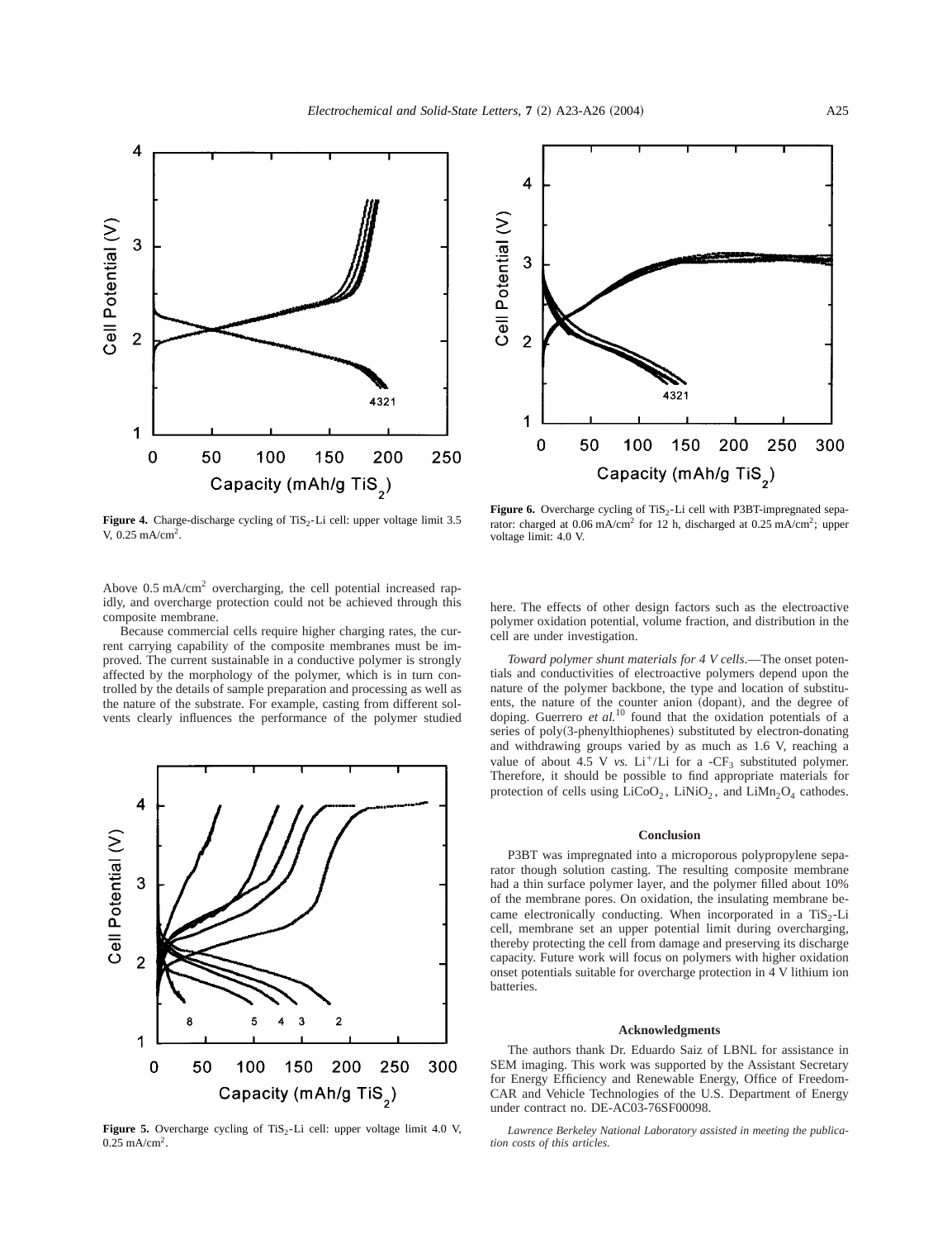

4 Cell Potential (V) 3  $\overline{2}$ 432. 1  $\mathbf 0$ 50 100 150 200 250 300 Capacity (mAh/g TiS<sub>2</sub>)

**Figure 4.** Charge-discharge cycling of  $T_iS_2$ -Li cell: upper voltage limit 3.5 V,  $0.25 \text{ mA/cm}^2$ .

Above 0.5 mA/cm2 overcharging, the cell potential increased rapidly, and overcharge protection could not be achieved through this composite membrane.

Because commercial cells require higher charging rates, the current carrying capability of the composite membranes must be improved. The current sustainable in a conductive polymer is strongly affected by the morphology of the polymer, which is in turn controlled by the details of sample preparation and processing as well as the nature of the substrate. For example, casting from different solvents clearly influences the performance of the polymer studied



**Figure 5.** Overcharge cycling of TiS<sub>2</sub>-Li cell: upper voltage limit 4.0 V, 0.25 mA/cm<sup>2</sup>.

**Figure 6.** Overcharge cycling of  $T_iS_2$ -Li cell with P3BT-impregnated separator: charged at  $0.06$  mA/cm<sup>2</sup> for 12 h, discharged at  $0.25$  mA/cm<sup>2</sup>; upper voltage limit: 4.0 V.

here. The effects of other design factors such as the electroactive polymer oxidation potential, volume fraction, and distribution in the cell are under investigation.

*Toward polymer shunt materials for 4 V cells*.—The onset potentials and conductivities of electroactive polymers depend upon the nature of the polymer backbone, the type and location of substituents, the nature of the counter anion (dopant), and the degree of doping. Guerrero *et al.*<sup>10</sup> found that the oxidation potentials of a series of poly(3-phenylthiophenes) substituted by electron-donating and withdrawing groups varied by as much as 1.6 V, reaching a value of about 4.5 V *vs.* Li<sup>+</sup>/Li for a -CF<sub>3</sub> substituted polymer. Therefore, it should be possible to find appropriate materials for protection of cells using  $LiCoO<sub>2</sub>$ ,  $LiNiO<sub>2</sub>$ , and  $LiMn<sub>2</sub>O<sub>4</sub>$  cathodes.

#### **Conclusion**

P3BT was impregnated into a microporous polypropylene separator though solution casting. The resulting composite membrane had a thin surface polymer layer, and the polymer filled about 10% of the membrane pores. On oxidation, the insulating membrane became electronically conducting. When incorporated in a  $TiS<sub>2</sub>-Li$ cell, membrane set an upper potential limit during overcharging, thereby protecting the cell from damage and preserving its discharge capacity. Future work will focus on polymers with higher oxidation onset potentials suitable for overcharge protection in 4 V lithium ion batteries.

#### **Acknowledgments**

The authors thank Dr. Eduardo Saiz of LBNL for assistance in SEM imaging. This work was supported by the Assistant Secretary for Energy Efficiency and Renewable Energy, Office of Freedom-CAR and Vehicle Technologies of the U.S. Department of Energy under contract no. DE-AC03-76SF00098.

*Lawrence Berkeley National Laboratory assisted in meeting the publication costs of this articles.*